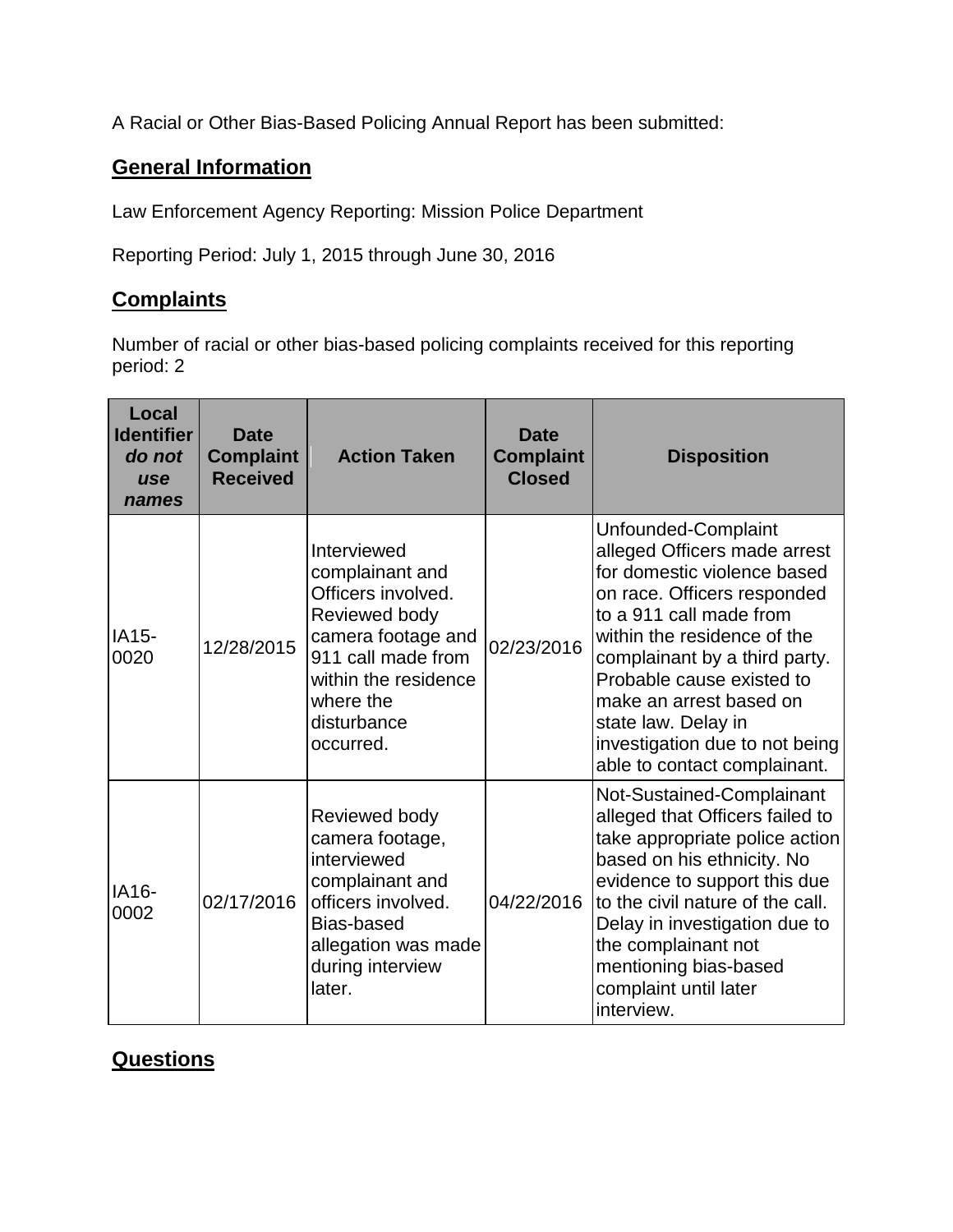A Racial or Other Bias-Based Policing Annual Report has been submitted:

## **General Information**

Law Enforcement Agency Reporting: Mission Police Department

Reporting Period: July 1, 2015 through June 30, 2016

## **Complaints**

Number of racial or other bias-based policing complaints received for this reporting period: 2

| Local<br><b>Identifier</b><br>do not<br><b>use</b><br>names | <b>Date</b><br><b>Complaint</b><br><b>Received</b> | <b>Action Taken</b>                                                                                                                                                                | <b>Date</b><br><b>Complaint</b><br><b>Closed</b> | <b>Disposition</b>                                                                                                                                                                                                                                                                                                                                            |
|-------------------------------------------------------------|----------------------------------------------------|------------------------------------------------------------------------------------------------------------------------------------------------------------------------------------|--------------------------------------------------|---------------------------------------------------------------------------------------------------------------------------------------------------------------------------------------------------------------------------------------------------------------------------------------------------------------------------------------------------------------|
| IA15-<br>0020                                               | 12/28/2015                                         | Interviewed<br>complainant and<br>Officers involved.<br>Reviewed body<br>camera footage and<br>911 call made from<br>within the residence<br>where the<br>disturbance<br>occurred. | 02/23/2016                                       | Unfounded-Complaint<br>alleged Officers made arrest<br>for domestic violence based<br>on race. Officers responded<br>to a 911 call made from<br>within the residence of the<br>complainant by a third party.<br>Probable cause existed to<br>make an arrest based on<br>state law. Delay in<br>investigation due to not being<br>able to contact complainant. |
| IA16-<br>0002                                               | 02/17/2016                                         | Reviewed body<br>camera footage,<br>interviewed<br>complainant and<br>officers involved.<br>Bias-based<br>allegation was made<br>during interview<br>later.                        | 04/22/2016                                       | Not-Sustained-Complainant<br>alleged that Officers failed to<br>take appropriate police action<br>based on his ethnicity. No<br>evidence to support this due<br>to the civil nature of the call.<br>Delay in investigation due to<br>the complainant not<br>mentioning bias-based<br>complaint until later<br>interview.                                      |

## **Questions**